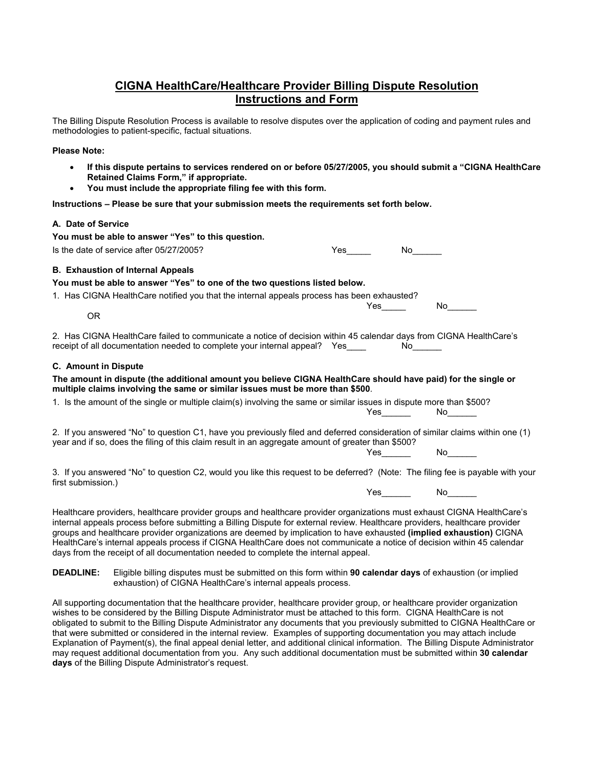# **CIGNA HealthCare/Healthcare Provider Billing Dispute Resolution Instructions and Form**

The Billing Dispute Resolution Process is available to resolve disputes over the application of coding and payment rules and methodologies to patient-specific, factual situations.

#### **Please Note:**

- **If this dispute pertains to services rendered on or before 05/27/2005, you should submit a "CIGNA HealthCare Retained Claims Form," if appropriate.**
- **You must include the appropriate filing fee with this form.**

**Instructions – Please be sure that your submission meets the requirements set forth below.**

### **A. Date of Service**

| You must be able to answer "Yes" to this question.<br>Is the date of service after 05/27/2005?                                                                                                                                                                                                                                                                                                                                                                                                                                                                                               | <b>Yes</b> and the set of the set of the set of the set of the set of the set of the set of the set of the set of the set of the set of the set of the set of the set of the set of the set of the set of the set of the set of the | No lim                                                                                                          |                                                                                                                 |
|----------------------------------------------------------------------------------------------------------------------------------------------------------------------------------------------------------------------------------------------------------------------------------------------------------------------------------------------------------------------------------------------------------------------------------------------------------------------------------------------------------------------------------------------------------------------------------------------|-------------------------------------------------------------------------------------------------------------------------------------------------------------------------------------------------------------------------------------|-----------------------------------------------------------------------------------------------------------------|-----------------------------------------------------------------------------------------------------------------|
|                                                                                                                                                                                                                                                                                                                                                                                                                                                                                                                                                                                              |                                                                                                                                                                                                                                     |                                                                                                                 |                                                                                                                 |
| <b>B. Exhaustion of Internal Appeals</b><br>You must be able to answer "Yes" to one of the two questions listed below.                                                                                                                                                                                                                                                                                                                                                                                                                                                                       |                                                                                                                                                                                                                                     |                                                                                                                 |                                                                                                                 |
| 1. Has CIGNA Health Care notified you that the internal appeals process has been exhausted?                                                                                                                                                                                                                                                                                                                                                                                                                                                                                                  |                                                                                                                                                                                                                                     |                                                                                                                 |                                                                                                                 |
| <b>OR</b>                                                                                                                                                                                                                                                                                                                                                                                                                                                                                                                                                                                    |                                                                                                                                                                                                                                     | Yes                                                                                                             | No the set of the set of the set of the set of the set of the set of the set of the set of the set of the set o |
| 2. Has CIGNA HealthCare failed to communicate a notice of decision within 45 calendar days from CIGNA HealthCare's<br>receipt of all documentation needed to complete your internal appeal? Yes____                                                                                                                                                                                                                                                                                                                                                                                          |                                                                                                                                                                                                                                     | No control of the set of the set of the set of the set of the set of the set of the set of the set of the set o |                                                                                                                 |
| <b>C.</b> Amount in Dispute                                                                                                                                                                                                                                                                                                                                                                                                                                                                                                                                                                  |                                                                                                                                                                                                                                     |                                                                                                                 |                                                                                                                 |
| The amount in dispute (the additional amount you believe CIGNA HealthCare should have paid) for the single or<br>multiple claims involving the same or similar issues must be more than \$500.                                                                                                                                                                                                                                                                                                                                                                                               |                                                                                                                                                                                                                                     |                                                                                                                 |                                                                                                                 |
| 1. Is the amount of the single or multiple claim(s) involving the same or similar issues in dispute more than \$500?                                                                                                                                                                                                                                                                                                                                                                                                                                                                         |                                                                                                                                                                                                                                     | $Yes$ No $No$                                                                                                   |                                                                                                                 |
| 2. If you answered "No" to question C1, have you previously filed and deferred consideration of similar claims within one (1)<br>year and if so, does the filing of this claim result in an aggregate amount of greater than \$500?                                                                                                                                                                                                                                                                                                                                                          |                                                                                                                                                                                                                                     |                                                                                                                 |                                                                                                                 |
|                                                                                                                                                                                                                                                                                                                                                                                                                                                                                                                                                                                              |                                                                                                                                                                                                                                     |                                                                                                                 |                                                                                                                 |
| 3. If you answered "No" to question C2, would you like this request to be deferred? (Note: The filing fee is payable with your<br>first submission.)                                                                                                                                                                                                                                                                                                                                                                                                                                         |                                                                                                                                                                                                                                     |                                                                                                                 |                                                                                                                 |
|                                                                                                                                                                                                                                                                                                                                                                                                                                                                                                                                                                                              |                                                                                                                                                                                                                                     |                                                                                                                 |                                                                                                                 |
| Healthcare providers, healthcare provider groups and healthcare provider organizations must exhaust CIGNA HealthCare's<br>internal appeals process before submitting a Billing Dispute for external review. Healthcare providers, healthcare provider<br>groups and healthcare provider organizations are deemed by implication to have exhausted (implied exhaustion) CIGNA<br>HealthCare's internal appeals process if CIGNA HealthCare does not communicate a notice of decision within 45 calendar<br>days from the receipt of all documentation needed to complete the internal appeal. |                                                                                                                                                                                                                                     |                                                                                                                 |                                                                                                                 |

**DEADLINE:** Eligible billing disputes must be submitted on this form within **90 calendar days** of exhaustion (or implied exhaustion) of CIGNA HealthCare's internal appeals process.

All supporting documentation that the healthcare provider, healthcare provider group, or healthcare provider organization wishes to be considered by the Billing Dispute Administrator must be attached to this form. CIGNA HealthCare is not obligated to submit to the Billing Dispute Administrator any documents that you previously submitted to CIGNA HealthCare or that were submitted or considered in the internal review. Examples of supporting documentation you may attach include Explanation of Payment(s), the final appeal denial letter, and additional clinical information. The Billing Dispute Administrator may request additional documentation from you. Any such additional documentation must be submitted within **30 calendar days** of the Billing Dispute Administrator's request.